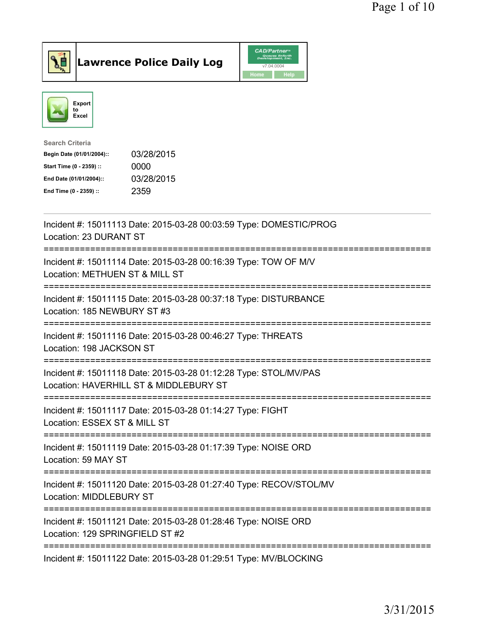



| <b>Search Criteria</b>    |            |
|---------------------------|------------|
| Begin Date (01/01/2004):: | 03/28/2015 |
| Start Time (0 - 2359) ::  | 0000       |
| End Date (01/01/2004)::   | 03/28/2015 |
| End Time (0 - 2359) ::    | 2359       |
|                           |            |

| Incident #: 15011113 Date: 2015-03-28 00:03:59 Type: DOMESTIC/PROG<br>Location: 23 DURANT ST                                                |
|---------------------------------------------------------------------------------------------------------------------------------------------|
| Incident #: 15011114 Date: 2015-03-28 00:16:39 Type: TOW OF M/V<br>Location: METHUEN ST & MILL ST                                           |
| Incident #: 15011115 Date: 2015-03-28 00:37:18 Type: DISTURBANCE<br>Location: 185 NEWBURY ST #3<br>:======================<br>------------- |
| Incident #: 15011116 Date: 2015-03-28 00:46:27 Type: THREATS<br>Location: 198 JACKSON ST<br>===============================                 |
| Incident #: 15011118 Date: 2015-03-28 01:12:28 Type: STOL/MV/PAS<br>Location: HAVERHILL ST & MIDDLEBURY ST                                  |
|                                                                                                                                             |
| Incident #: 15011117 Date: 2015-03-28 01:14:27 Type: FIGHT<br>Location: ESSEX ST & MILL ST                                                  |
| Incident #: 15011119 Date: 2015-03-28 01:17:39 Type: NOISE ORD<br>Location: 59 MAY ST                                                       |
| -----------------<br>Incident #: 15011120 Date: 2015-03-28 01:27:40 Type: RECOV/STOL/MV<br><b>Location: MIDDLEBURY ST</b>                   |
| =================<br>Incident #: 15011121 Date: 2015-03-28 01:28:46 Type: NOISE ORD<br>Location: 129 SPRINGFIELD ST #2                      |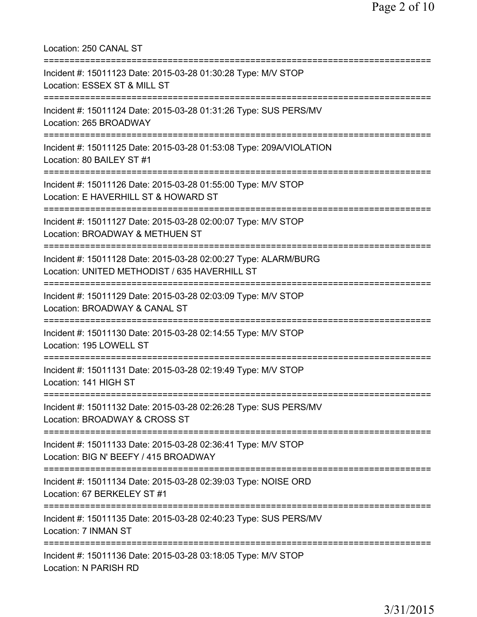Location: 250 CANAL ST =========================================================================== Incident #: 15011123 Date: 2015-03-28 01:30:28 Type: M/V STOP Location: ESSEX ST & MILL ST =========================================================================== Incident #: 15011124 Date: 2015-03-28 01:31:26 Type: SUS PERS/MV Location: 265 BROADWAY =========================================================================== Incident #: 15011125 Date: 2015-03-28 01:53:08 Type: 209A/VIOLATION Location: 80 BAILEY ST #1 =========================================================================== Incident #: 15011126 Date: 2015-03-28 01:55:00 Type: M/V STOP Location: E HAVERHILL ST & HOWARD ST =========================================================================== Incident #: 15011127 Date: 2015-03-28 02:00:07 Type: M/V STOP Location: BROADWAY & METHUEN ST =========================================================================== Incident #: 15011128 Date: 2015-03-28 02:00:27 Type: ALARM/BURG Location: UNITED METHODIST / 635 HAVERHILL ST =========================================================================== Incident #: 15011129 Date: 2015-03-28 02:03:09 Type: M/V STOP Location: BROADWAY & CANAL ST =========================================================================== Incident #: 15011130 Date: 2015-03-28 02:14:55 Type: M/V STOP Location: 195 LOWELL ST =========================================================================== Incident #: 15011131 Date: 2015-03-28 02:19:49 Type: M/V STOP Location: 141 HIGH ST =========================================================================== Incident #: 15011132 Date: 2015-03-28 02:26:28 Type: SUS PERS/MV Location: BROADWAY & CROSS ST =========================================================================== Incident #: 15011133 Date: 2015-03-28 02:36:41 Type: M/V STOP Location: BIG N' BEEFY / 415 BROADWAY =========================================================================== Incident #: 15011134 Date: 2015-03-28 02:39:03 Type: NOISE ORD Location: 67 BERKELEY ST #1 =========================================================================== Incident #: 15011135 Date: 2015-03-28 02:40:23 Type: SUS PERS/MV Location: 7 INMAN ST =========================================================================== Incident #: 15011136 Date: 2015-03-28 03:18:05 Type: M/V STOP Location: N PARISH RD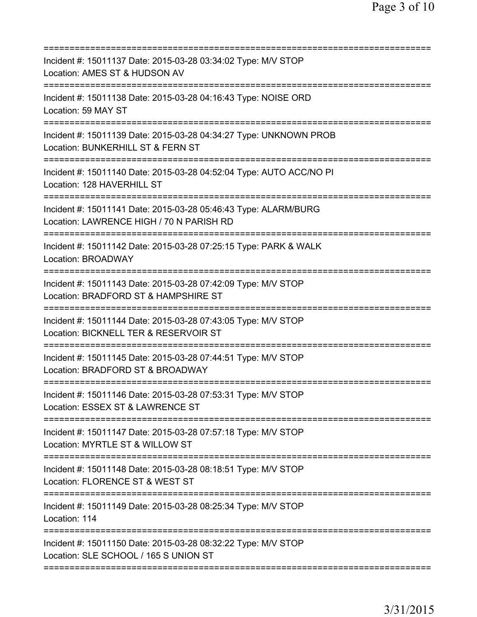| Incident #: 15011137 Date: 2015-03-28 03:34:02 Type: M/V STOP<br>Location: AMES ST & HUDSON AV              |
|-------------------------------------------------------------------------------------------------------------|
| Incident #: 15011138 Date: 2015-03-28 04:16:43 Type: NOISE ORD<br>Location: 59 MAY ST                       |
| Incident #: 15011139 Date: 2015-03-28 04:34:27 Type: UNKNOWN PROB<br>Location: BUNKERHILL ST & FERN ST      |
| Incident #: 15011140 Date: 2015-03-28 04:52:04 Type: AUTO ACC/NO PI<br>Location: 128 HAVERHILL ST           |
| Incident #: 15011141 Date: 2015-03-28 05:46:43 Type: ALARM/BURG<br>Location: LAWRENCE HIGH / 70 N PARISH RD |
| Incident #: 15011142 Date: 2015-03-28 07:25:15 Type: PARK & WALK<br>Location: BROADWAY                      |
| Incident #: 15011143 Date: 2015-03-28 07:42:09 Type: M/V STOP<br>Location: BRADFORD ST & HAMPSHIRE ST       |
| Incident #: 15011144 Date: 2015-03-28 07:43:05 Type: M/V STOP<br>Location: BICKNELL TER & RESERVOIR ST      |
| Incident #: 15011145 Date: 2015-03-28 07:44:51 Type: M/V STOP<br>Location: BRADFORD ST & BROADWAY           |
| Incident #: 15011146 Date: 2015-03-28 07:53:31 Type: M/V STOP<br>Location: ESSEX ST & LAWRENCE ST           |
| Incident #: 15011147 Date: 2015-03-28 07:57:18 Type: M/V STOP<br>Location: MYRTLE ST & WILLOW ST            |
| Incident #: 15011148 Date: 2015-03-28 08:18:51 Type: M/V STOP<br>Location: FLORENCE ST & WEST ST            |
| Incident #: 15011149 Date: 2015-03-28 08:25:34 Type: M/V STOP<br>Location: 114                              |
| Incident #: 15011150 Date: 2015-03-28 08:32:22 Type: M/V STOP<br>Location: SLE SCHOOL / 165 S UNION ST      |
|                                                                                                             |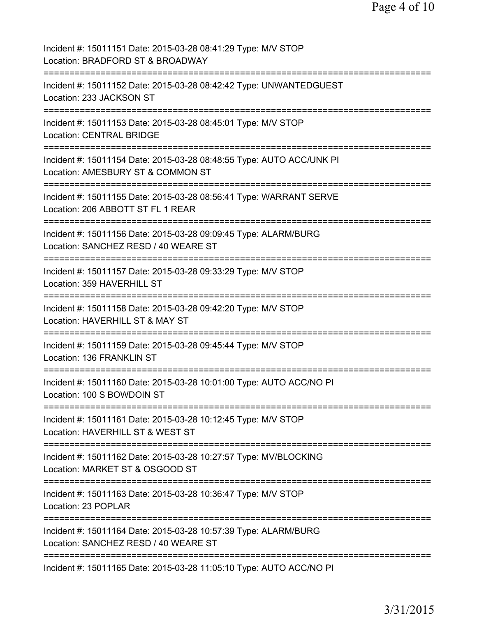Page 4 of 10

| Incident #: 15011151 Date: 2015-03-28 08:41:29 Type: M/V STOP<br>Location: BRADFORD ST & BROADWAY         |
|-----------------------------------------------------------------------------------------------------------|
| Incident #: 15011152 Date: 2015-03-28 08:42:42 Type: UNWANTEDGUEST<br>Location: 233 JACKSON ST            |
| Incident #: 15011153 Date: 2015-03-28 08:45:01 Type: M/V STOP<br><b>Location: CENTRAL BRIDGE</b>          |
| Incident #: 15011154 Date: 2015-03-28 08:48:55 Type: AUTO ACC/UNK PI<br>Location: AMESBURY ST & COMMON ST |
| Incident #: 15011155 Date: 2015-03-28 08:56:41 Type: WARRANT SERVE<br>Location: 206 ABBOTT ST FL 1 REAR   |
| Incident #: 15011156 Date: 2015-03-28 09:09:45 Type: ALARM/BURG<br>Location: SANCHEZ RESD / 40 WEARE ST   |
| Incident #: 15011157 Date: 2015-03-28 09:33:29 Type: M/V STOP<br>Location: 359 HAVERHILL ST               |
| Incident #: 15011158 Date: 2015-03-28 09:42:20 Type: M/V STOP<br>Location: HAVERHILL ST & MAY ST          |
| Incident #: 15011159 Date: 2015-03-28 09:45:44 Type: M/V STOP<br>Location: 136 FRANKLIN ST                |
| Incident #: 15011160 Date: 2015-03-28 10:01:00 Type: AUTO ACC/NO PI<br>Location: 100 S BOWDOIN ST         |
| Incident #: 15011161 Date: 2015-03-28 10:12:45 Type: M/V STOP<br>Location: HAVERHILL ST & WEST ST         |
| Incident #: 15011162 Date: 2015-03-28 10:27:57 Type: MV/BLOCKING<br>Location: MARKET ST & OSGOOD ST       |
| Incident #: 15011163 Date: 2015-03-28 10:36:47 Type: M/V STOP<br>Location: 23 POPLAR                      |
| Incident #: 15011164 Date: 2015-03-28 10:57:39 Type: ALARM/BURG<br>Location: SANCHEZ RESD / 40 WEARE ST   |
| Incident #: 15011165 Date: 2015-03-28 11:05:10 Type: AUTO ACC/NO PI                                       |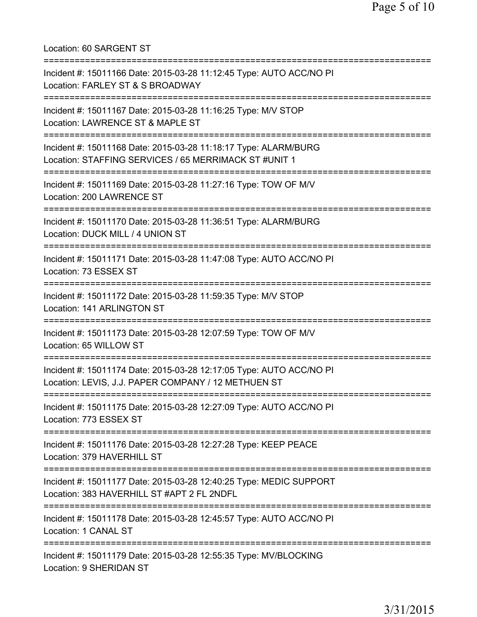Location: 60 SARGENT ST =========================================================================== Incident #: 15011166 Date: 2015-03-28 11:12:45 Type: AUTO ACC/NO PI Location: FARLEY ST & S BROADWAY =========================================================================== Incident #: 15011167 Date: 2015-03-28 11:16:25 Type: M/V STOP Location: LAWRENCE ST & MAPLE ST =========================================================================== Incident #: 15011168 Date: 2015-03-28 11:18:17 Type: ALARM/BURG Location: STAFFING SERVICES / 65 MERRIMACK ST #UNIT 1 =========================================================================== Incident #: 15011169 Date: 2015-03-28 11:27:16 Type: TOW OF M/V Location: 200 LAWRENCE ST =========================================================================== Incident #: 15011170 Date: 2015-03-28 11:36:51 Type: ALARM/BURG Location: DUCK MILL / 4 UNION ST =========================================================================== Incident #: 15011171 Date: 2015-03-28 11:47:08 Type: AUTO ACC/NO PI Location: 73 ESSEX ST =========================================================================== Incident #: 15011172 Date: 2015-03-28 11:59:35 Type: M/V STOP Location: 141 ARLINGTON ST =========================================================================== Incident #: 15011173 Date: 2015-03-28 12:07:59 Type: TOW OF M/V Location: 65 WILLOW ST =========================================================================== Incident #: 15011174 Date: 2015-03-28 12:17:05 Type: AUTO ACC/NO PI Location: LEVIS, J.J. PAPER COMPANY / 12 METHUEN ST =========================================================================== Incident #: 15011175 Date: 2015-03-28 12:27:09 Type: AUTO ACC/NO PI Location: 773 ESSEX ST =========================================================================== Incident #: 15011176 Date: 2015-03-28 12:27:28 Type: KEEP PEACE Location: 379 HAVERHILL ST =========================================================================== Incident #: 15011177 Date: 2015-03-28 12:40:25 Type: MEDIC SUPPORT Location: 383 HAVERHILL ST #APT 2 FL 2NDFL =========================================================================== Incident #: 15011178 Date: 2015-03-28 12:45:57 Type: AUTO ACC/NO PI Location: 1 CANAL ST =========================================================================== Incident #: 15011179 Date: 2015-03-28 12:55:35 Type: MV/BLOCKING Location: 9 SHERIDAN ST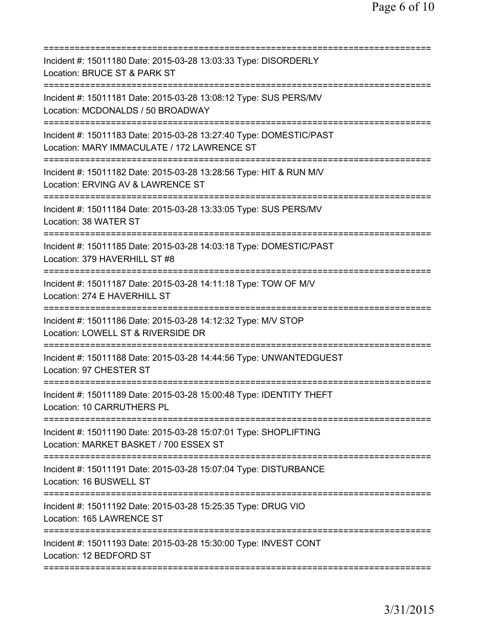| Incident #: 15011180 Date: 2015-03-28 13:03:33 Type: DISORDERLY<br>Location: BRUCE ST & PARK ST                                                      |
|------------------------------------------------------------------------------------------------------------------------------------------------------|
| Incident #: 15011181 Date: 2015-03-28 13:08:12 Type: SUS PERS/MV<br>Location: MCDONALDS / 50 BROADWAY                                                |
| Incident #: 15011183 Date: 2015-03-28 13:27:40 Type: DOMESTIC/PAST<br>Location: MARY IMMACULATE / 172 LAWRENCE ST<br>=============================== |
| Incident #: 15011182 Date: 2015-03-28 13:28:56 Type: HIT & RUN M/V<br>Location: ERVING AV & LAWRENCE ST                                              |
| ===================<br>Incident #: 15011184 Date: 2015-03-28 13:33:05 Type: SUS PERS/MV<br>Location: 38 WATER ST                                     |
| ===================================<br>Incident #: 15011185 Date: 2015-03-28 14:03:18 Type: DOMESTIC/PAST<br>Location: 379 HAVERHILL ST #8           |
| Incident #: 15011187 Date: 2015-03-28 14:11:18 Type: TOW OF M/V<br>Location: 274 E HAVERHILL ST                                                      |
| Incident #: 15011186 Date: 2015-03-28 14:12:32 Type: M/V STOP<br>Location: LOWELL ST & RIVERSIDE DR                                                  |
| Incident #: 15011188 Date: 2015-03-28 14:44:56 Type: UNWANTEDGUEST<br>Location: 97 CHESTER ST                                                        |
| Incident #: 15011189 Date: 2015-03-28 15:00:48 Type: IDENTITY THEFT<br>Location: 10 CARRUTHERS PL                                                    |
| Incident #: 15011190 Date: 2015-03-28 15:07:01 Type: SHOPLIFTING<br>Location: MARKET BASKET / 700 ESSEX ST                                           |
| Incident #: 15011191 Date: 2015-03-28 15:07:04 Type: DISTURBANCE<br>Location: 16 BUSWELL ST                                                          |
| Incident #: 15011192 Date: 2015-03-28 15:25:35 Type: DRUG VIO<br>Location: 165 LAWRENCE ST                                                           |
| Incident #: 15011193 Date: 2015-03-28 15:30:00 Type: INVEST CONT<br>Location: 12 BEDFORD ST                                                          |
|                                                                                                                                                      |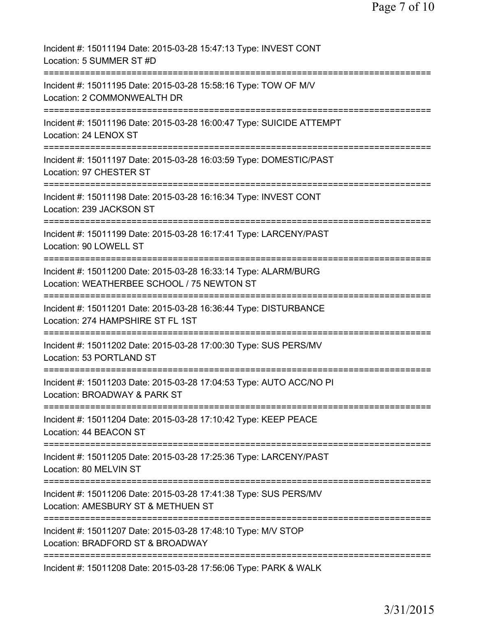| Incident #: 15011194 Date: 2015-03-28 15:47:13 Type: INVEST CONT<br>Location: 5 SUMMER ST #D                                                                       |
|--------------------------------------------------------------------------------------------------------------------------------------------------------------------|
| Incident #: 15011195 Date: 2015-03-28 15:58:16 Type: TOW OF M/V<br>Location: 2 COMMONWEALTH DR                                                                     |
| Incident #: 15011196 Date: 2015-03-28 16:00:47 Type: SUICIDE ATTEMPT<br>Location: 24 LENOX ST                                                                      |
| Incident #: 15011197 Date: 2015-03-28 16:03:59 Type: DOMESTIC/PAST<br>Location: 97 CHESTER ST                                                                      |
| Incident #: 15011198 Date: 2015-03-28 16:16:34 Type: INVEST CONT<br>Location: 239 JACKSON ST                                                                       |
| Incident #: 15011199 Date: 2015-03-28 16:17:41 Type: LARCENY/PAST<br>Location: 90 LOWELL ST                                                                        |
| Incident #: 15011200 Date: 2015-03-28 16:33:14 Type: ALARM/BURG<br>Location: WEATHERBEE SCHOOL / 75 NEWTON ST                                                      |
| Incident #: 15011201 Date: 2015-03-28 16:36:44 Type: DISTURBANCE<br>Location: 274 HAMPSHIRE ST FL 1ST                                                              |
| Incident #: 15011202 Date: 2015-03-28 17:00:30 Type: SUS PERS/MV<br>Location: 53 PORTLAND ST                                                                       |
| Incident #: 15011203 Date: 2015-03-28 17:04:53 Type: AUTO ACC/NO PI<br>Location: BROADWAY & PARK ST                                                                |
| Incident #: 15011204 Date: 2015-03-28 17:10:42 Type: KEEP PEACE<br>Location: 44 BEACON ST                                                                          |
| Incident #: 15011205 Date: 2015-03-28 17:25:36 Type: LARCENY/PAST<br>Location: 80 MELVIN ST                                                                        |
| Incident #: 15011206 Date: 2015-03-28 17:41:38 Type: SUS PERS/MV<br>Location: AMESBURY ST & METHUEN ST                                                             |
| ===============================<br>==========================<br>Incident #: 15011207 Date: 2015-03-28 17:48:10 Type: M/V STOP<br>Location: BRADFORD ST & BROADWAY |
| Incident #: 15011208 Date: 2015-03-28 17:56:06 Type: PARK & WALK                                                                                                   |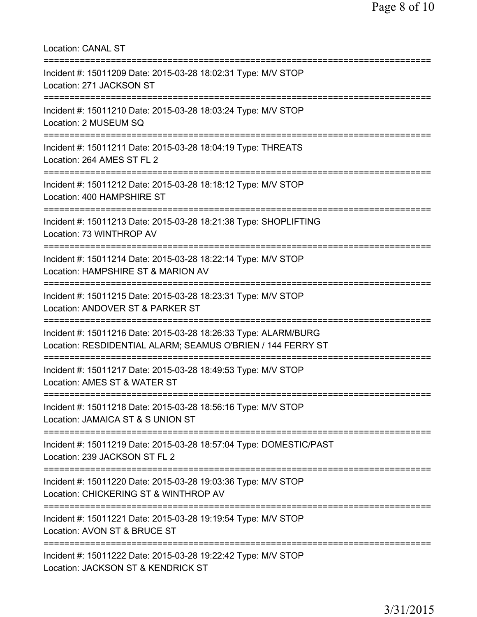| <b>Location: CANAL ST</b><br>==============================                                                                                 |
|---------------------------------------------------------------------------------------------------------------------------------------------|
| Incident #: 15011209 Date: 2015-03-28 18:02:31 Type: M/V STOP<br>Location: 271 JACKSON ST<br>=================================              |
| Incident #: 15011210 Date: 2015-03-28 18:03:24 Type: M/V STOP<br>Location: 2 MUSEUM SQ<br>===============================                   |
| Incident #: 15011211 Date: 2015-03-28 18:04:19 Type: THREATS<br>Location: 264 AMES ST FL 2                                                  |
| Incident #: 15011212 Date: 2015-03-28 18:18:12 Type: M/V STOP<br>Location: 400 HAMPSHIRE ST                                                 |
| Incident #: 15011213 Date: 2015-03-28 18:21:38 Type: SHOPLIFTING<br>Location: 73 WINTHROP AV                                                |
| Incident #: 15011214 Date: 2015-03-28 18:22:14 Type: M/V STOP<br>Location: HAMPSHIRE ST & MARION AV                                         |
| Incident #: 15011215 Date: 2015-03-28 18:23:31 Type: M/V STOP<br>Location: ANDOVER ST & PARKER ST                                           |
| Incident #: 15011216 Date: 2015-03-28 18:26:33 Type: ALARM/BURG<br>Location: RESDIDENTIAL ALARM; SEAMUS O'BRIEN / 144 FERRY ST              |
| Incident #: 15011217 Date: 2015-03-28 18:49:53 Type: M/V STOP<br>Location: AMES ST & WATER ST                                               |
| =====================================<br>Incident #: 15011218 Date: 2015-03-28 18:56:16 Type: M/V STOP<br>Location: JAMAICA ST & S UNION ST |
| Incident #: 15011219 Date: 2015-03-28 18:57:04 Type: DOMESTIC/PAST<br>Location: 239 JACKSON ST FL 2                                         |
| Incident #: 15011220 Date: 2015-03-28 19:03:36 Type: M/V STOP<br>Location: CHICKERING ST & WINTHROP AV                                      |
| Incident #: 15011221 Date: 2015-03-28 19:19:54 Type: M/V STOP<br>Location: AVON ST & BRUCE ST                                               |
| Incident #: 15011222 Date: 2015-03-28 19:22:42 Type: M/V STOP<br>Location: JACKSON ST & KENDRICK ST                                         |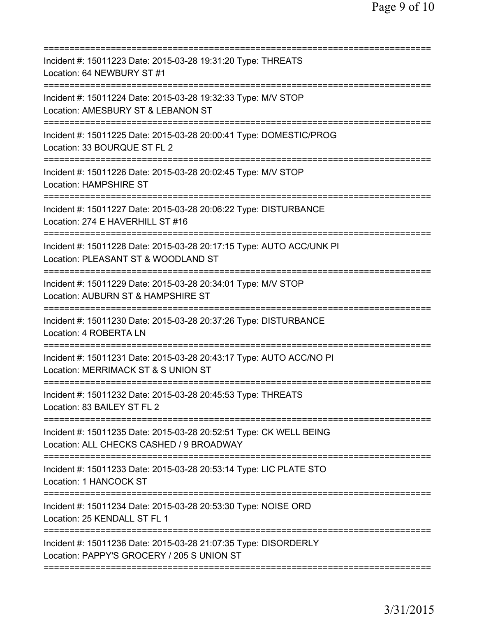| Incident #: 15011223 Date: 2015-03-28 19:31:20 Type: THREATS<br>Location: 64 NEWBURY ST #1                     |
|----------------------------------------------------------------------------------------------------------------|
| Incident #: 15011224 Date: 2015-03-28 19:32:33 Type: M/V STOP<br>Location: AMESBURY ST & LEBANON ST            |
| Incident #: 15011225 Date: 2015-03-28 20:00:41 Type: DOMESTIC/PROG<br>Location: 33 BOURQUE ST FL 2             |
| Incident #: 15011226 Date: 2015-03-28 20:02:45 Type: M/V STOP<br><b>Location: HAMPSHIRE ST</b>                 |
| Incident #: 15011227 Date: 2015-03-28 20:06:22 Type: DISTURBANCE<br>Location: 274 E HAVERHILL ST #16           |
| Incident #: 15011228 Date: 2015-03-28 20:17:15 Type: AUTO ACC/UNK PI<br>Location: PLEASANT ST & WOODLAND ST    |
| Incident #: 15011229 Date: 2015-03-28 20:34:01 Type: M/V STOP<br>Location: AUBURN ST & HAMPSHIRE ST            |
| Incident #: 15011230 Date: 2015-03-28 20:37:26 Type: DISTURBANCE<br>Location: 4 ROBERTA LN                     |
| Incident #: 15011231 Date: 2015-03-28 20:43:17 Type: AUTO ACC/NO PI<br>Location: MERRIMACK ST & S UNION ST     |
| Incident #: 15011232 Date: 2015-03-28 20:45:53 Type: THREATS<br>Location: 83 BAILEY ST FL 2                    |
| Incident #: 15011235 Date: 2015-03-28 20:52:51 Type: CK WELL BEING<br>Location: ALL CHECKS CASHED / 9 BROADWAY |
| Incident #: 15011233 Date: 2015-03-28 20:53:14 Type: LIC PLATE STO<br>Location: 1 HANCOCK ST                   |
| Incident #: 15011234 Date: 2015-03-28 20:53:30 Type: NOISE ORD<br>Location: 25 KENDALL ST FL 1                 |
| Incident #: 15011236 Date: 2015-03-28 21:07:35 Type: DISORDERLY<br>Location: PAPPY'S GROCERY / 205 S UNION ST  |
|                                                                                                                |